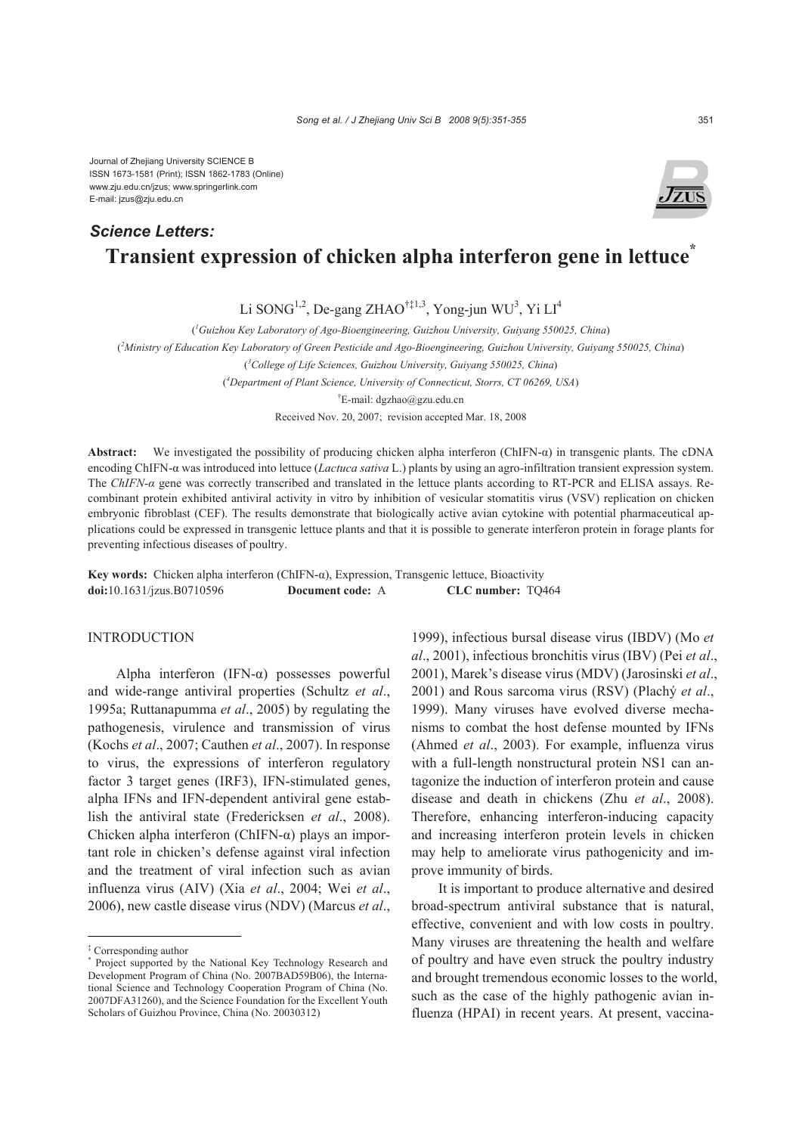Journal of Zhejiang University SCIENCE B ISSN 1673-1581 (Print); ISSN 1862-1783 (Online) www.zju.edu.cn/jzus; www.springerlink.com E-mail: jzus@zju.edu.cn

# **Transient expression of chicken alpha interferon gene in lettuce\*** *Science Letters:*

Li SONG<sup>1,2</sup>, De-gang ZHAO<sup>†‡1,3</sup>, Yong-jun WU<sup>3</sup>, Yi LI<sup>4</sup>

( *1 Guizhou Key Laboratory of Ago-Bioengineering, Guizhou University, Guiyang 550025, China*)

( *2 Ministry of Education Key Laboratory of Green Pesticide and Ago-Bioengineering, Guizhou University, Guiyang 550025, China*)

( *3 College of Life Sciences, Guizhou University, Guiyang 550025, China*)

( *4 Department of Plant Science, University of Connecticut, Storrs, CT 06269, USA*)

† E-mail: dgzhao@gzu.edu.cn

Received Nov. 20, 2007; revision accepted Mar. 18, 2008

**Abstract:** We investigated the possibility of producing chicken alpha interferon (ChIFN-α) in transgenic plants. The cDNA encoding ChIFN-α was introduced into lettuce (*Lactuca sativa* L.) plants by using an agro-infiltration transient expression system. The *ChIFN-α* gene was correctly transcribed and translated in the lettuce plants according to RT-PCR and ELISA assays. Recombinant protein exhibited antiviral activity in vitro by inhibition of vesicular stomatitis virus (VSV) replication on chicken embryonic fibroblast (CEF). The results demonstrate that biologically active avian cytokine with potential pharmaceutical applications could be expressed in transgenic lettuce plants and that it is possible to generate interferon protein in forage plants for preventing infectious diseases of poultry.

**Key words:** Chicken alpha interferon (ChIFN-α), Expression, Transgenic lettuce, Bioactivity **doi:**10.1631/jzus.B0710596 **Document code:** A **CLC number:** TQ464

## INTRODUCTION

Alpha interferon (IFN-α) possesses powerful and wide-range antiviral properties (Schultz *et al*., 1995a; Ruttanapumma *et al*., 2005) by regulating the pathogenesis, virulence and transmission of virus (Kochs *et al*., 2007; Cauthen *et al*., 2007). In response to virus, the expressions of interferon regulatory factor 3 target genes (IRF3), IFN-stimulated genes, alpha IFNs and IFN-dependent antiviral gene establish the antiviral state (Fredericksen *et al*., 2008). Chicken alpha interferon (ChIFN-α) plays an important role in chicken's defense against viral infection and the treatment of viral infection such as avian influenza virus (AIV) (Xia *et al*., 2004; Wei *et al*., 2006), new castle disease virus (NDV) (Marcus *et al*.,

1999), infectious bursal disease virus (IBDV) (Mo *et al*., 2001), infectious bronchitis virus (IBV) (Pei *et al*., 2001), Marek's disease virus (MDV) (Jarosinski *et al*., 2001) and Rous sarcoma virus (RSV) (Plachý *et al*., 1999). Many viruses have evolved diverse mechanisms to combat the host defense mounted by IFNs (Ahmed *et al*., 2003). For example, influenza virus with a full-length nonstructural protein NS1 can antagonize the induction of interferon protein and cause disease and death in chickens (Zhu *et al*., 2008). Therefore, enhancing interferon-inducing capacity and increasing interferon protein levels in chicken may help to ameliorate virus pathogenicity and improve immunity of birds.

It is important to produce alternative and desired broad-spectrum antiviral substance that is natural, effective, convenient and with low costs in poultry. Many viruses are threatening the health and welfare of poultry and have even struck the poultry industry and brought tremendous economic losses to the world, such as the case of the highly pathogenic avian influenza (HPAI) in recent years. At present, vaccina-



<sup>‡</sup> Corresponding author

<sup>\*</sup> Project supported by the National Key Technology Research and Development Program of China (No. 2007BAD59B06), the International Science and Technology Cooperation Program of China (No. 2007DFA31260), and the Science Foundation for the Excellent Youth Scholars of Guizhou Province, China (No. 20030312)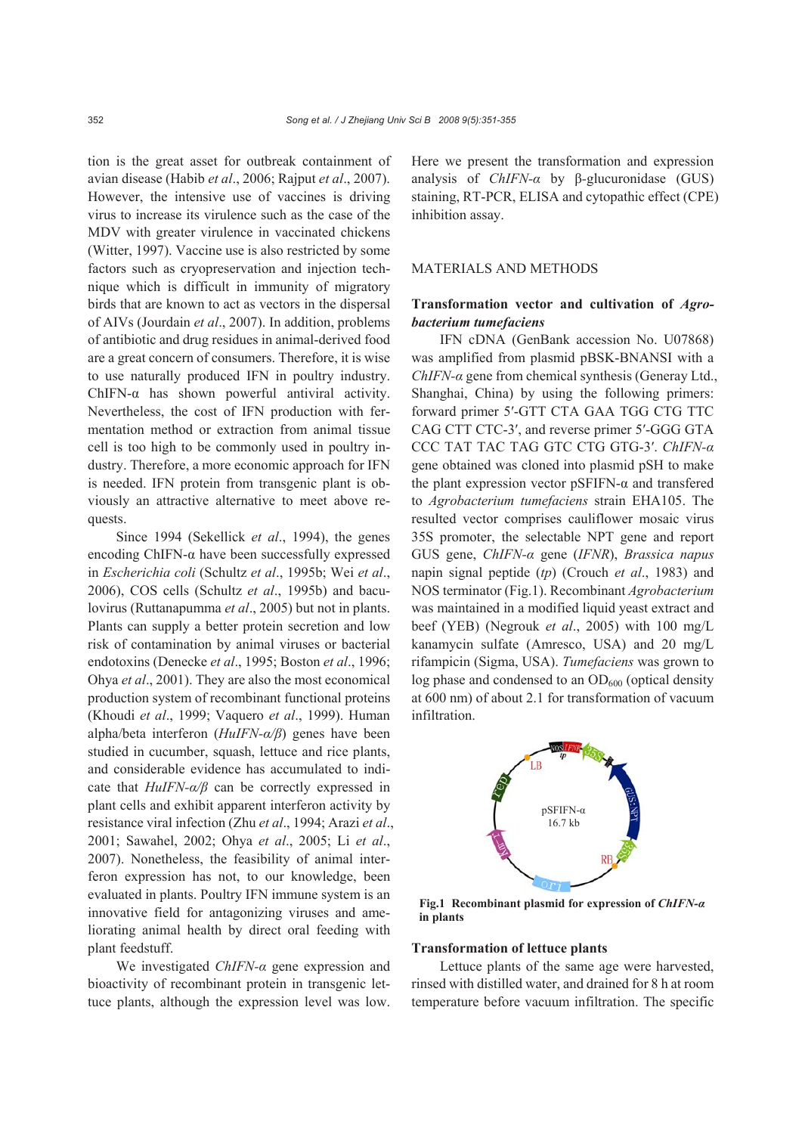tion is the great asset for outbreak containment of avian disease (Habib *et al*., 2006; Rajput *et al*., 2007). However, the intensive use of vaccines is driving virus to increase its virulence such as the case of the MDV with greater virulence in vaccinated chickens (Witter, 1997). Vaccine use is also restricted by some factors such as cryopreservation and injection technique which is difficult in immunity of migratory birds that are known to act as vectors in the dispersal of AIVs (Jourdain *et al*., 2007). In addition, problems of antibiotic and drug residues in animal-derived food are a great concern of consumers. Therefore, it is wise to use naturally produced IFN in poultry industry. ChIFN-α has shown powerful antiviral activity. Nevertheless, the cost of IFN production with fermentation method or extraction from animal tissue cell is too high to be commonly used in poultry industry. Therefore, a more economic approach for IFN is needed. IFN protein from transgenic plant is obviously an attractive alternative to meet above requests.

Since 1994 (Sekellick *et al*., 1994), the genes encoding ChIFN- $\alpha$  have been successfully expressed in *Escherichia coli* (Schultz *et al*., 1995b; Wei *et al*., 2006), COS cells (Schultz *et al*., 1995b) and baculovirus (Ruttanapumma *et al*., 2005) but not in plants. Plants can supply a better protein secretion and low risk of contamination by animal viruses or bacterial endotoxins (Denecke *et al*., 1995; Boston *et al*., 1996; Ohya *et al*., 2001). They are also the most economical production system of recombinant functional proteins (Khoudi *et al*., 1999; Vaquero *et al*., 1999). Human alpha/beta interferon (*HuIFN-α/β*) genes have been studied in cucumber, squash, lettuce and rice plants, and considerable evidence has accumulated to indicate that *HuIFN-α/β* can be correctly expressed in plant cells and exhibit apparent interferon activity by resistance viral infection (Zhu *et al*., 1994; Arazi *et al*., 2001; Sawahel, 2002; Ohya *et al*., 2005; Li *et al*., 2007). Nonetheless, the feasibility of animal interferon expression has not, to our knowledge, been evaluated in plants. Poultry IFN immune system is an innovative field for antagonizing viruses and ameliorating animal health by direct oral feeding with plant feedstuff.

We investigated *ChIFN-α* gene expression and bioactivity of recombinant protein in transgenic lettuce plants, although the expression level was low. Here we present the transformation and expression analysis of *ChIFN-α* by β*-*glucuronidase (GUS) staining, RT-PCR, ELISA and cytopathic effect (CPE) inhibition assay.

#### MATERIALS AND METHODS

# **Transformation vector and cultivation of** *Agrobacterium tumefaciens*

IFN cDNA (GenBank accession No. U07868) was amplified from plasmid pBSK-BNANSI with a *ChIFN-α* gene from chemical synthesis (Generay Ltd., Shanghai, China) by using the following primers: forward primer 5′-GTT CTA GAA TGG CTG TTC CAG CTT CTC-3′, and reverse primer 5′-GGG GTA CCC TAT TAC TAG GTC CTG GTG-3′. *ChIFN-α* gene obtained was cloned into plasmid pSH to make the plant expression vector pSFIFN-α and transfered to *Agrobacterium tumefaciens* strain EHA105. The resulted vector comprises cauliflower mosaic virus 35S promoter, the selectable NPT gene and report GUS gene, *ChIFN-α* gene (*IFNR*), *Brassica napus* napin signal peptide (*tp*) (Crouch *et al*., 1983) and NOS terminator (Fig.1). Recombinant *Agrobacterium* was maintained in a modified liquid yeast extract and beef (YEB) (Negrouk *et al*., 2005) with 100 mg/L kanamycin sulfate (Amresco, USA) and 20 mg/L rifampicin (Sigma, USA). *Tumefaciens* was grown to  $log phase$  and condensed to an  $OD<sub>600</sub>$  (optical density at 600 nm) of about 2.1 for transformation of vacuum infiltration.



**Fig.1 Recombinant plasmid for expression of** *ChIFN-α* **in plants**

## **Transformation of lettuce plants**

Lettuce plants of the same age were harvested, rinsed with distilled water, and drained for 8 h at room temperature before vacuum infiltration. The specific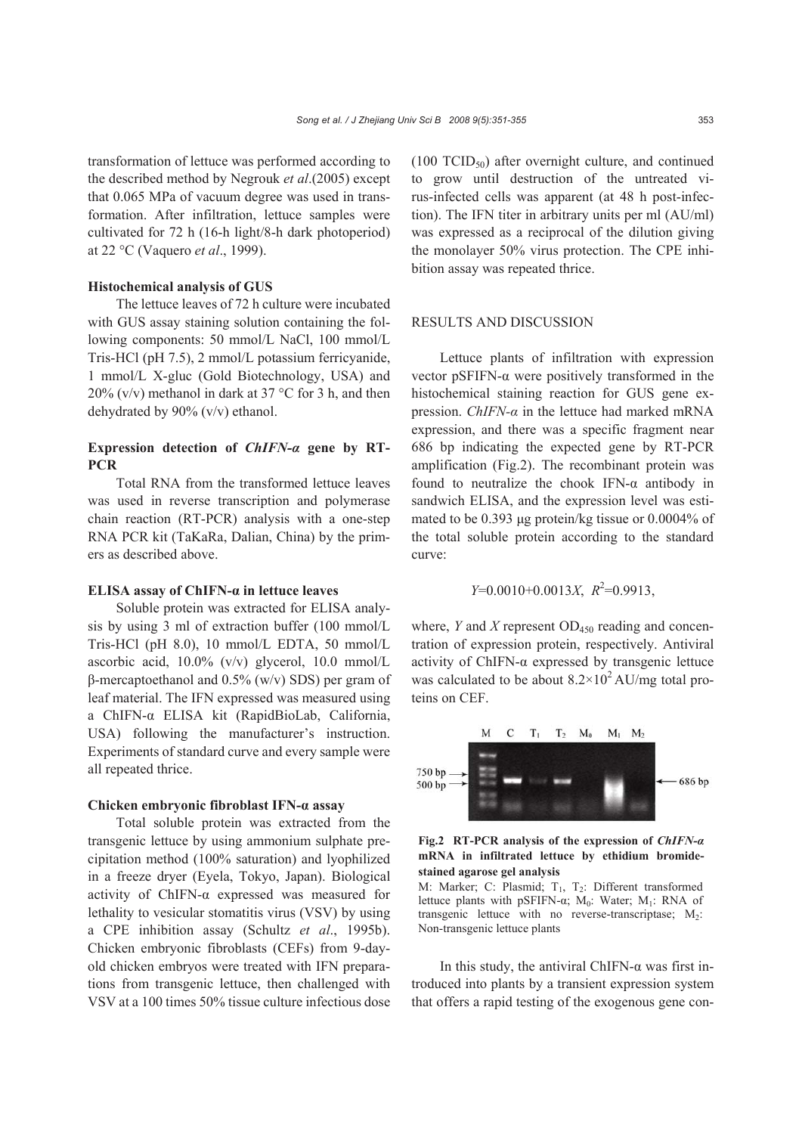transformation of lettuce was performed according to the described method by Negrouk *et al*.(2005) except that 0.065 MPa of vacuum degree was used in transformation. After infiltration, lettuce samples were cultivated for 72 h (16-h light/8-h dark photoperiod) at 22 °C (Vaquero *et al*., 1999).

# **Histochemical analysis of GUS**

The lettuce leaves of 72 h culture were incubated with GUS assay staining solution containing the following components: 50 mmol/L NaCl, 100 mmol/L Tris-HCl (pH 7.5), 2 mmol/L potassium ferricyanide, 1 mmol/L X-gluc (Gold Biotechnology, USA) and 20% (v/v) methanol in dark at 37 °C for 3 h, and then dehydrated by 90% (v/v) ethanol.

# **Expression detection of** *ChIFN-α* **gene by RT-PCR**

Total RNA from the transformed lettuce leaves was used in reverse transcription and polymerase chain reaction (RT-PCR) analysis with a one-step RNA PCR kit (TaKaRa, Dalian, China) by the primers as described above.

#### **ELISA assay of ChIFN-α in lettuce leaves**

Soluble protein was extracted for ELISA analysis by using 3 ml of extraction buffer (100 mmol/L Tris-HCl (pH 8.0), 10 mmol/L EDTA, 50 mmol/L ascorbic acid, 10.0% (v/v) glycerol, 10.0 mmol/L β-mercaptoethanol and 0.5% (w/v) SDS) per gram of leaf material. The IFN expressed was measured using a ChIFN-α ELISA kit (RapidBioLab, California, USA) following the manufacturer's instruction. Experiments of standard curve and every sample were all repeated thrice.

## **Chicken embryonic fibroblast IFN-α assay**

Total soluble protein was extracted from the transgenic lettuce by using ammonium sulphate precipitation method (100% saturation) and lyophilized in a freeze dryer (Eyela, Tokyo, Japan). Biological activity of ChIFN-α expressed was measured for lethality to vesicular stomatitis virus (VSV) by using a CPE inhibition assay (Schultz *et al*., 1995b). Chicken embryonic fibroblasts (CEFs) from 9-dayold chicken embryos were treated with IFN preparations from transgenic lettuce, then challenged with VSV at a 100 times 50% tissue culture infectious dose  $(100 \text{ TCID}_{50})$  after overnight culture, and continued to grow until destruction of the untreated virus-infected cells was apparent (at 48 h post-infection). The IFN titer in arbitrary units per ml (AU/ml) was expressed as a reciprocal of the dilution giving the monolayer 50% virus protection. The CPE inhibition assay was repeated thrice.

## RESULTS AND DISCUSSION

Lettuce plants of infiltration with expression vector pSFIFN-α were positively transformed in the histochemical staining reaction for GUS gene expression. *ChIFN-α* in the lettuce had marked mRNA expression, and there was a specific fragment near 686 bp indicating the expected gene by RT-PCR amplification (Fig.2). The recombinant protein was found to neutralize the chook IFN-α antibody in sandwich ELISA, and the expression level was estimated to be 0.393 μg protein/kg tissue or 0.0004% of the total soluble protein according to the standard curve:

$$
Y=0.0010+0.0013X, R^2=0.9913,
$$

where, *Y* and *X* represent  $OD_{450}$  reading and concentration of expression protein, respectively. Antiviral activity of ChIFN- $\alpha$  expressed by transgenic lettuce was calculated to be about  $8.2 \times 10^2$  AU/mg total proteins on CEF.



#### **Fig.2 RT-PCR analysis of the expression of** *ChIFN-α* **mRNA in infiltrated lettuce by ethidium bromidestained agarose gel analysis**

M: Marker; C: Plasmid;  $T_1$ ,  $T_2$ : Different transformed lettuce plants with pSFIFN-α; M<sub>0</sub>: Water; M<sub>1</sub>: RNA of transgenic lettuce with no reverse-transcriptase;  $M_2$ : Non-transgenic lettuce plants

In this study, the antiviral ChIFN- $\alpha$  was first introduced into plants by a transient expression system that offers a rapid testing of the exogenous gene con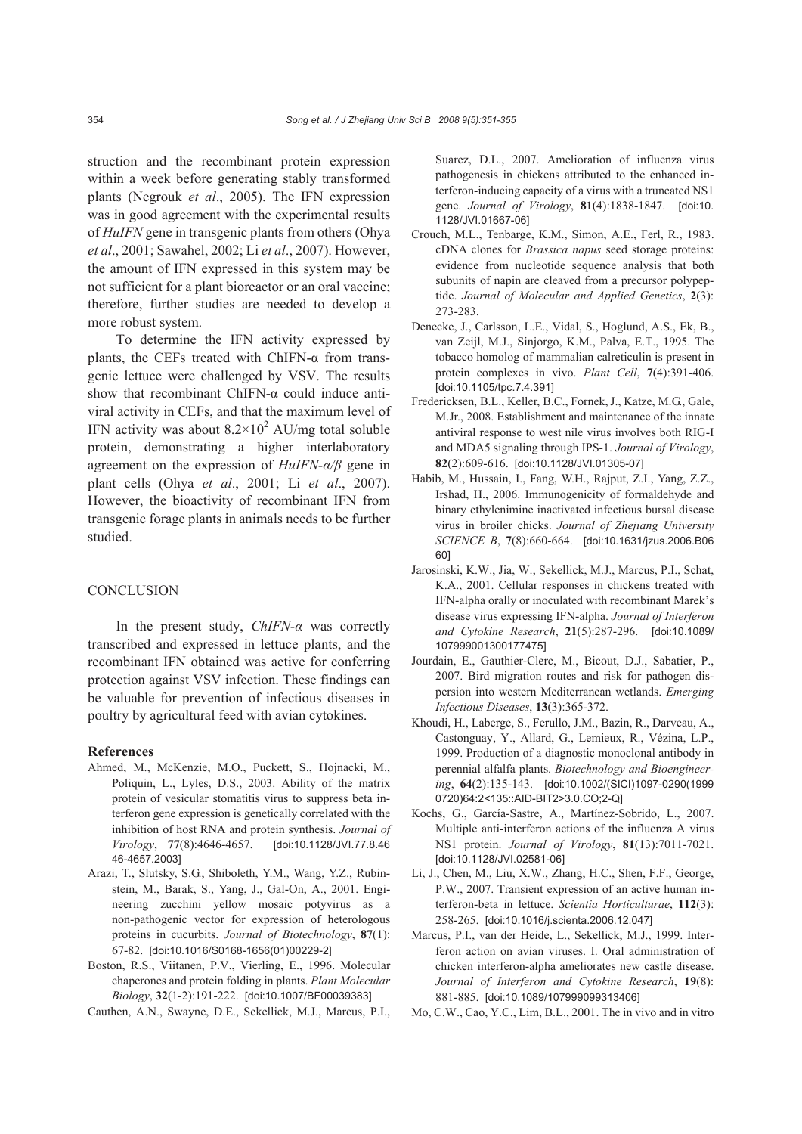struction and the recombinant protein expression within a week before generating stably transformed plants (Negrouk *et al*., 2005). The IFN expression was in good agreement with the experimental results of *HuIFN* gene in transgenic plants from others (Ohya *et al*., 2001; Sawahel, 2002; Li *et al*., 2007). However, the amount of IFN expressed in this system may be not sufficient for a plant bioreactor or an oral vaccine; therefore, further studies are needed to develop a more robust system.

To determine the IFN activity expressed by plants, the CEFs treated with ChIFN-α from transgenic lettuce were challenged by VSV. The results show that recombinant ChIFN-α could induce antiviral activity in CEFs, and that the maximum level of IFN activity was about  $8.2 \times 10^2$  AU/mg total soluble protein, demonstrating a higher interlaboratory agreement on the expression of *HuIFN-α/β* gene in plant cells (Ohya *et al*., 2001; Li *et al*., 2007). However, the bioactivity of recombinant IFN from transgenic forage plants in animals needs to be further studied.

# **CONCLUSION**

In the present study, *ChIFN-α* was correctly transcribed and expressed in lettuce plants, and the recombinant IFN obtained was active for conferring protection against VSV infection. These findings can be valuable for prevention of infectious diseases in poultry by agricultural feed with avian cytokines.

#### **References**

- Ahmed, M., McKenzie, M.O., Puckett, S., Hojnacki, M., Poliquin, L., Lyles, D.S., 2003. Ability of the matrix protein of vesicular stomatitis virus to suppress beta interferon gene expression is genetically correlated with the inhibition of host RNA and protein synthesis. *Journal of Virology*, **77**(8):4646-4657. [doi:10.1128/JVI.77.8.46 46-4657.2003]
- Arazi, T., Slutsky, S.G., Shiboleth, Y.M., Wang, Y.Z., Rubinstein, M., Barak, S., Yang, J., Gal-On, A., 2001. Engineering zucchini yellow mosaic potyvirus as a non-pathogenic vector for expression of heterologous proteins in cucurbits. *Journal of Biotechnology*, **87**(1): 67-82. [doi:10.1016/S0168-1656(01)00229-2]
- Boston, R.S., Viitanen, P.V., Vierling, E., 1996. Molecular chaperones and protein folding in plants. *Plant Molecular Biology*, **32**(1-2):191-222. [doi:10.1007/BF00039383]

Cauthen, A.N., Swayne, D.E., Sekellick, M.J., Marcus, P.I.,

Suarez, D.L., 2007. Amelioration of influenza virus pathogenesis in chickens attributed to the enhanced interferon-inducing capacity of a virus with a truncated NS1 gene. *Journal of Virology*, **81**(4):1838-1847. [doi:10. 1128/JVI.01667-06]

- Crouch, M.L., Tenbarge, K.M., Simon, A.E., Ferl, R., 1983. cDNA clones for *Brassica napus* seed storage proteins: evidence from nucleotide sequence analysis that both subunits of napin are cleaved from a precursor polypeptide. *Journal of Molecular and Applied Genetics*, **2**(3): 273-283.
- Denecke, J., Carlsson, L.E., Vidal, S., Hoglund, A.S., Ek, B., van Zeijl, M.J., Sinjorgo, K.M., Palva, E.T., 1995. The tobacco homolog of mammalian calreticulin is present in protein complexes in vivo. *Plant Cell*, **7**(4):391-406. [doi:10.1105/tpc.7.4.391]
- Fredericksen, B.L., Keller, B.C., Fornek,J., Katze, M.G., Gale, M.Jr., 2008. Establishment and maintenance of the innate antiviral response to west nile virus involves both RIG-I and MDA5 signaling through IPS-1. *Journal of Virology*, **82**(2):609-616. [doi:10.1128/JVI.01305-07]
- Habib, M., Hussain, I., Fang, W.H., Rajput, Z.I., Yang, Z.Z., Irshad, H., 2006. Immunogenicity of formaldehyde and binary ethylenimine inactivated infectious bursal disease virus in broiler chicks. *Journal of Zhejiang University SCIENCE B*, **7**(8):660-664. [doi:10.1631/jzus.2006.B06 60]
- Jarosinski, K.W., Jia, W., Sekellick, M.J., Marcus, P.I., Schat, K.A., 2001. Cellular responses in chickens treated with IFN-alpha orally or inoculated with recombinant Marek's disease virus expressing IFN-alpha. *Journal of Interferon and Cytokine Research*, **21**(5):287-296. [doi:10.1089/ 107999001300177475]
- Jourdain, E., Gauthier-Clerc, M., Bicout, D.J., Sabatier, P., 2007. Bird migration routes and risk for pathogen dispersion into western Mediterranean wetlands. *Emerging Infectious Diseases*, **13**(3):365-372.
- Khoudi, H., Laberge, S., Ferullo, J.M., Bazin, R., Darveau, A., Castonguay, Y., Allard, G., Lemieux, R., Vézina, L.P., 1999. Production of a diagnostic monoclonal antibody in perennial alfalfa plants. *Biotechnology and Bioengineering*, **64**(2):135-143. [doi:10.1002/(SICI)1097-0290(1999 0720)64:2<135::AID-BIT2>3.0.CO;2-Q]
- Kochs, G., García-Sastre, A., Martínez-Sobrido, L., 2007. Multiple anti-interferon actions of the influenza A virus NS1 protein. *Journal of Virology*, **81**(13):7011-7021. [doi:10.1128/JVI.02581-06]
- Li, J., Chen, M., Liu, X.W., Zhang, H.C., Shen, F.F., George, P.W., 2007. Transient expression of an active human interferon-beta in lettuce. *Scientia Horticulturae*, **112**(3): 258-265. [doi:10.1016/j.scienta.2006.12.047]
- Marcus, P.I., van der Heide, L., Sekellick, M.J., 1999. Interferon action on avian viruses. I. Oral administration of chicken interferon-alpha ameliorates new castle disease. *Journal of Interferon and Cytokine Research*, **19**(8): 881-885. [doi:10.1089/107999099313406]
- Mo, C.W., Cao, Y.C., Lim, B.L., 2001. The in vivo and in vitro